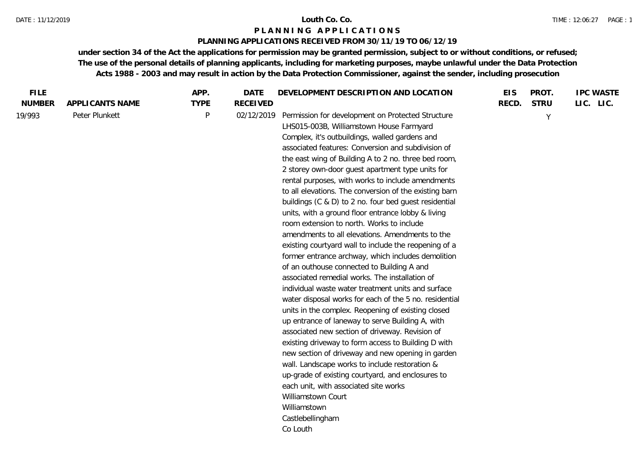## **PLANNING APPLICATIONS RECEIVED FROM 30/11/19 TO 06/12/19**

| <b>FILE</b>   |                 | APP.        | DATE            | DEVELOPMENT DESCRIPTION AND LOCATION                                                                                                                                                                                                                                                                                                                                                                                                                                                                                                                                                                                                                                                                                                                                                                                                                                                                                                                                                                                                                                                                                                                                                                                                                                                                                                                                                                                                                                          | <b>EIS</b> | PROT.       | <b>IPC WASTE</b> |
|---------------|-----------------|-------------|-----------------|-------------------------------------------------------------------------------------------------------------------------------------------------------------------------------------------------------------------------------------------------------------------------------------------------------------------------------------------------------------------------------------------------------------------------------------------------------------------------------------------------------------------------------------------------------------------------------------------------------------------------------------------------------------------------------------------------------------------------------------------------------------------------------------------------------------------------------------------------------------------------------------------------------------------------------------------------------------------------------------------------------------------------------------------------------------------------------------------------------------------------------------------------------------------------------------------------------------------------------------------------------------------------------------------------------------------------------------------------------------------------------------------------------------------------------------------------------------------------------|------------|-------------|------------------|
| <b>NUMBER</b> | APPLICANTS NAME | <b>TYPE</b> | <b>RECEIVED</b> |                                                                                                                                                                                                                                                                                                                                                                                                                                                                                                                                                                                                                                                                                                                                                                                                                                                                                                                                                                                                                                                                                                                                                                                                                                                                                                                                                                                                                                                                               | RECD.      | <b>STRU</b> | LIC. LIC.        |
| 19/993        | Peter Plunkett  | P           | 02/12/2019      | Permission for development on Protected Structure<br>LHS015-003B, Williamstown House Farmyard<br>Complex, it's outbuildings, walled gardens and<br>associated features: Conversion and subdivision of<br>the east wing of Building A to 2 no. three bed room,<br>2 storey own-door guest apartment type units for<br>rental purposes, with works to include amendments<br>to all elevations. The conversion of the existing barn<br>buildings (C & D) to 2 no. four bed guest residential<br>units, with a ground floor entrance lobby & living<br>room extension to north. Works to include<br>amendments to all elevations. Amendments to the<br>existing courtyard wall to include the reopening of a<br>former entrance archway, which includes demolition<br>of an outhouse connected to Building A and<br>associated remedial works. The installation of<br>individual waste water treatment units and surface<br>water disposal works for each of the 5 no. residential<br>units in the complex. Reopening of existing closed<br>up entrance of laneway to serve Building A, with<br>associated new section of driveway. Revision of<br>existing driveway to form access to Building D with<br>new section of driveway and new opening in garden<br>wall. Landscape works to include restoration &<br>up-grade of existing courtyard, and enclosures to<br>each unit, with associated site works<br>Williamstown Court<br>Williamstown<br>Castlebellingham<br>Co Louth |            | Y           |                  |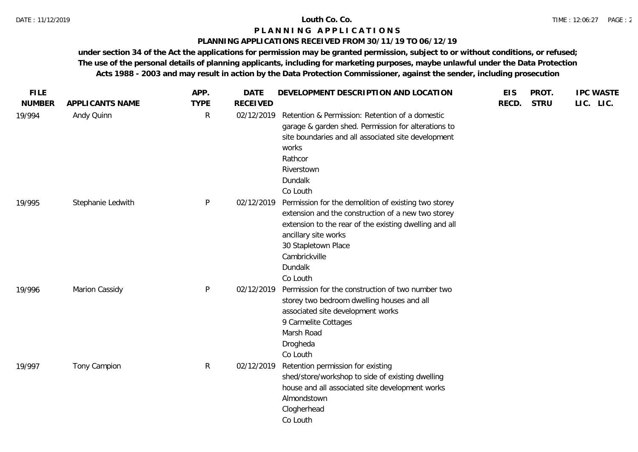# **PLANNING APPLICATIONS RECEIVED FROM 30/11/19 TO 06/12/19**

| <b>FILE</b>   |                   | APP.         | <b>DATE</b>     | DEVELOPMENT DESCRIPTION AND LOCATION                                                                                                                                                                                                                        | <b>EIS</b> | PROT.       | <b>IPC WASTE</b> |
|---------------|-------------------|--------------|-----------------|-------------------------------------------------------------------------------------------------------------------------------------------------------------------------------------------------------------------------------------------------------------|------------|-------------|------------------|
| <b>NUMBER</b> | APPLICANTS NAME   | <b>TYPE</b>  | <b>RECEIVED</b> |                                                                                                                                                                                                                                                             | RECD.      | <b>STRU</b> | LIC. LIC.        |
| 19/994        | Andy Quinn        | $\mathsf{R}$ | 02/12/2019      | Retention & Permission: Retention of a domestic<br>garage & garden shed. Permission for alterations to<br>site boundaries and all associated site development<br>works<br>Rathcor<br>Riverstown<br>Dundalk<br>Co Louth                                      |            |             |                  |
| 19/995        | Stephanie Ledwith | P            | 02/12/2019      | Permission for the demolition of existing two storey<br>extension and the construction of a new two storey<br>extension to the rear of the existing dwelling and all<br>ancillary site works<br>30 Stapletown Place<br>Cambrickville<br>Dundalk<br>Co Louth |            |             |                  |
| 19/996        | Marion Cassidy    | P            | 02/12/2019      | Permission for the construction of two number two<br>storey two bedroom dwelling houses and all<br>associated site development works<br>9 Carmelite Cottages<br>Marsh Road<br>Drogheda<br>Co Louth                                                          |            |             |                  |
| 19/997        | Tony Campion      | $\mathsf{R}$ | 02/12/2019      | Retention permission for existing<br>shed/store/workshop to side of existing dwelling<br>house and all associated site development works<br>Almondstown<br>Clogherhead<br>Co Louth                                                                          |            |             |                  |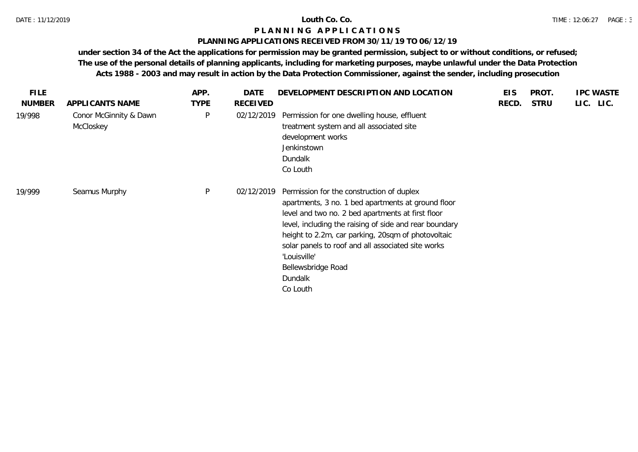# **PLANNING APPLICATIONS RECEIVED FROM 30/11/19 TO 06/12/19**

| <b>FILE</b><br><b>NUMBER</b> | APPLICANTS NAME                     | APP.<br><b>TYPE</b> | DATE<br><b>RECEIVED</b> | DEVELOPMENT DESCRIPTION AND LOCATION                                                                                                                                                                                                                                                                                                                                                    | <b>EIS</b><br>RECD. | PROT.<br><b>STRU</b> | <b>IPC WASTE</b><br>LIC. LIC. |
|------------------------------|-------------------------------------|---------------------|-------------------------|-----------------------------------------------------------------------------------------------------------------------------------------------------------------------------------------------------------------------------------------------------------------------------------------------------------------------------------------------------------------------------------------|---------------------|----------------------|-------------------------------|
| 19/998                       | Conor McGinnity & Dawn<br>McCloskey | P                   | 02/12/2019              | Permission for one dwelling house, effluent<br>treatment system and all associated site<br>development works<br>Jenkinstown<br>Dundalk<br>Co Louth                                                                                                                                                                                                                                      |                     |                      |                               |
| 19/999                       | Seamus Murphy                       | P                   | 02/12/2019              | Permission for the construction of duplex<br>apartments, 3 no. 1 bed apartments at ground floor<br>level and two no. 2 bed apartments at first floor<br>level, including the raising of side and rear boundary<br>height to 2.2m, car parking, 20sqm of photovoltaic<br>solar panels to roof and all associated site works<br>'Louisville'<br>Bellewsbridge Road<br>Dundalk<br>Co Louth |                     |                      |                               |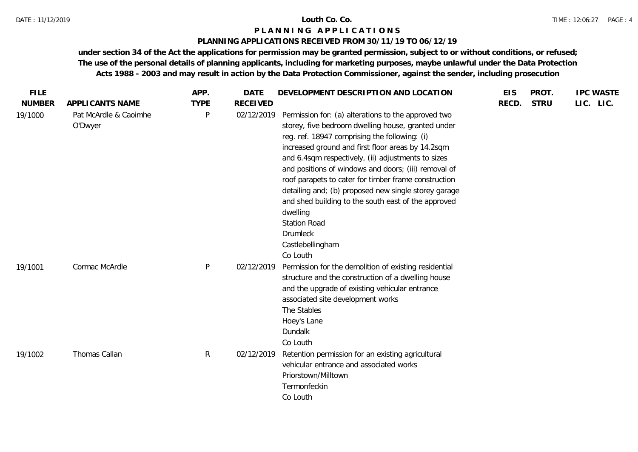# **PLANNING APPLICATIONS RECEIVED FROM 30/11/19 TO 06/12/19**

| <b>FILE</b>   |                                  | APP.         | <b>DATE</b>     | DEVELOPMENT DESCRIPTION AND LOCATION                                                                                                                                                                                                                                                                                                                                                                                                                                                                                                                                                       | <b>EIS</b> | PROT.       | <b>IPC WASTE</b> |  |
|---------------|----------------------------------|--------------|-----------------|--------------------------------------------------------------------------------------------------------------------------------------------------------------------------------------------------------------------------------------------------------------------------------------------------------------------------------------------------------------------------------------------------------------------------------------------------------------------------------------------------------------------------------------------------------------------------------------------|------------|-------------|------------------|--|
| <b>NUMBER</b> | APPLICANTS NAME                  | <b>TYPE</b>  | <b>RECEIVED</b> |                                                                                                                                                                                                                                                                                                                                                                                                                                                                                                                                                                                            | RECD.      | <b>STRU</b> | LIC. LIC.        |  |
| 19/1000       | Pat McArdle & Caoimhe<br>O'Dwyer | P            | 02/12/2019      | Permission for: (a) alterations to the approved two<br>storey, five bedroom dwelling house, granted under<br>reg. ref. 18947 comprising the following: (i)<br>increased ground and first floor areas by 14.2sqm<br>and 6.4sqm respectively, (ii) adjustments to sizes<br>and positions of windows and doors; (iii) removal of<br>roof parapets to cater for timber frame construction<br>detailing and; (b) proposed new single storey garage<br>and shed building to the south east of the approved<br>dwelling<br><b>Station Road</b><br><b>Drumleck</b><br>Castlebellingham<br>Co Louth |            |             |                  |  |
| 19/1001       | Cormac McArdle                   | P            | 02/12/2019      | Permission for the demolition of existing residential<br>structure and the construction of a dwelling house<br>and the upgrade of existing vehicular entrance<br>associated site development works<br>The Stables<br>Hoey's Lane<br>Dundalk<br>Co Louth                                                                                                                                                                                                                                                                                                                                    |            |             |                  |  |
| 19/1002       | Thomas Callan                    | $\mathsf{R}$ | 02/12/2019      | Retention permission for an existing agricultural<br>vehicular entrance and associated works<br>Priorstown/Milltown<br>Termonfeckin<br>Co Louth                                                                                                                                                                                                                                                                                                                                                                                                                                            |            |             |                  |  |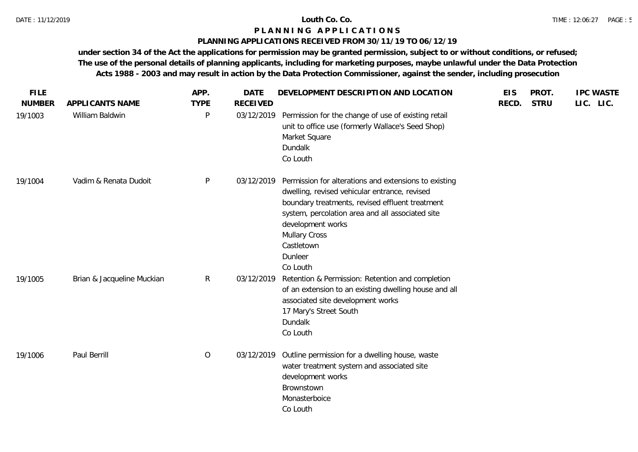# **PLANNING APPLICATIONS RECEIVED FROM 30/11/19 TO 06/12/19**

| <b>FILE</b>              |                                    | APP.             | <b>DATE</b>                   | DEVELOPMENT DESCRIPTION AND LOCATION                                                                                                                                                                                                                                                            | <b>EIS</b> | PROT.       | <b>IPC WASTE</b> |
|--------------------------|------------------------------------|------------------|-------------------------------|-------------------------------------------------------------------------------------------------------------------------------------------------------------------------------------------------------------------------------------------------------------------------------------------------|------------|-------------|------------------|
| <b>NUMBER</b><br>19/1003 | APPLICANTS NAME<br>William Baldwin | <b>TYPE</b><br>P | <b>RECEIVED</b><br>03/12/2019 | Permission for the change of use of existing retail<br>unit to office use (formerly Wallace's Seed Shop)<br>Market Square<br>Dundalk<br>Co Louth                                                                                                                                                | RECD.      | <b>STRU</b> | LIC. LIC.        |
| 19/1004                  | Vadim & Renata Dudoit              | P                | 03/12/2019                    | Permission for alterations and extensions to existing<br>dwelling, revised vehicular entrance, revised<br>boundary treatments, revised effluent treatment<br>system, percolation area and all associated site<br>development works<br><b>Mullary Cross</b><br>Castletown<br>Dunleer<br>Co Louth |            |             |                  |
| 19/1005                  | Brian & Jacqueline Muckian         | $\mathsf{R}$     | 03/12/2019                    | Retention & Permission: Retention and completion<br>of an extension to an existing dwelling house and all<br>associated site development works<br>17 Mary's Street South<br>Dundalk<br>Co Louth                                                                                                 |            |             |                  |
| 19/1006                  | Paul Berrill                       | $\overline{O}$   | 03/12/2019                    | Outline permission for a dwelling house, waste<br>water treatment system and associated site<br>development works<br>Brownstown<br>Monasterboice<br>Co Louth                                                                                                                                    |            |             |                  |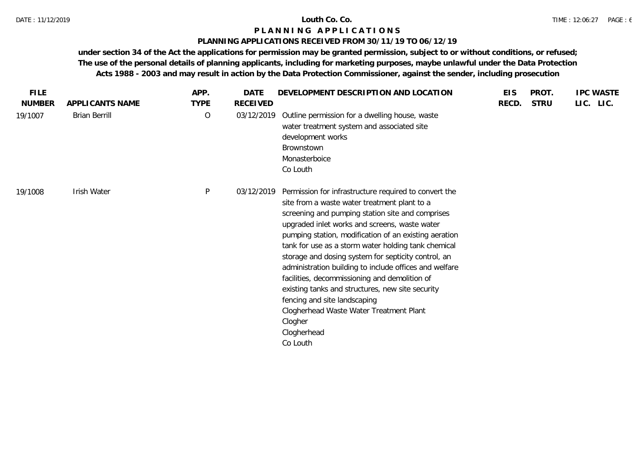# **PLANNING APPLICATIONS RECEIVED FROM 30/11/19 TO 06/12/19**

| <b>FILE</b>   |                      | APP.        | <b>DATE</b> | DEVELOPMENT DESCRIPTION AND LOCATION                                                                                                                                                                                                                                                                                                                                                                                                                                                                                                                                                                                                                              | <b>EIS</b> | PROT.       | <b>IPC WASTE</b> |
|---------------|----------------------|-------------|-------------|-------------------------------------------------------------------------------------------------------------------------------------------------------------------------------------------------------------------------------------------------------------------------------------------------------------------------------------------------------------------------------------------------------------------------------------------------------------------------------------------------------------------------------------------------------------------------------------------------------------------------------------------------------------------|------------|-------------|------------------|
| <b>NUMBER</b> | APPLICANTS NAME      | <b>TYPE</b> | RECEIVED    |                                                                                                                                                                                                                                                                                                                                                                                                                                                                                                                                                                                                                                                                   | RECD.      | <b>STRU</b> | LIC. LIC.        |
| 19/1007       | <b>Brian Berrill</b> | $\circ$     | 03/12/2019  | Outline permission for a dwelling house, waste<br>water treatment system and associated site<br>development works<br>Brownstown<br>Monasterboice<br>Co Louth                                                                                                                                                                                                                                                                                                                                                                                                                                                                                                      |            |             |                  |
| 19/1008       | Irish Water          | P           | 03/12/2019  | Permission for infrastructure required to convert the<br>site from a waste water treatment plant to a<br>screening and pumping station site and comprises<br>upgraded inlet works and screens, waste water<br>pumping station, modification of an existing aeration<br>tank for use as a storm water holding tank chemical<br>storage and dosing system for septicity control, an<br>administration building to include offices and welfare<br>facilities, decommissioning and demolition of<br>existing tanks and structures, new site security<br>fencing and site landscaping<br>Clogherhead Waste Water Treatment Plant<br>Clogher<br>Clogherhead<br>Co Louth |            |             |                  |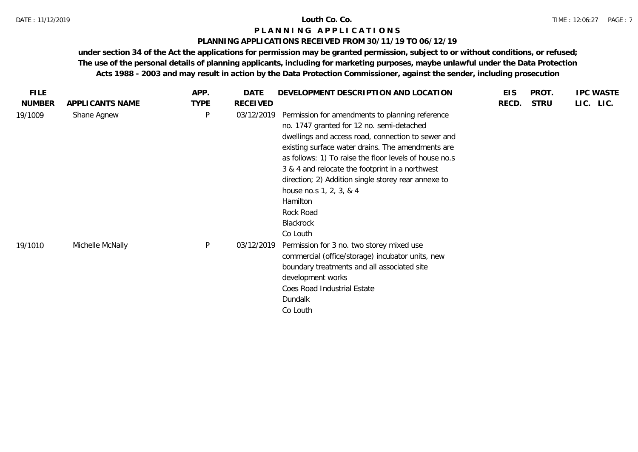# **PLANNING APPLICATIONS RECEIVED FROM 30/11/19 TO 06/12/19**

| <b>FILE</b>   |                  | APP.         | DATE            | DEVELOPMENT DESCRIPTION AND LOCATION                                                                                                                                                                                                                                                                                                                                                                                                                     | <b>EIS</b> | PROT.       | <b>IPC WASTE</b> |
|---------------|------------------|--------------|-----------------|----------------------------------------------------------------------------------------------------------------------------------------------------------------------------------------------------------------------------------------------------------------------------------------------------------------------------------------------------------------------------------------------------------------------------------------------------------|------------|-------------|------------------|
| <b>NUMBER</b> | APPLICANTS NAME  | <b>TYPE</b>  | <b>RECEIVED</b> |                                                                                                                                                                                                                                                                                                                                                                                                                                                          | RECD.      | <b>STRU</b> | LIC. LIC.        |
| 19/1009       | Shane Agnew      | P            | 03/12/2019      | Permission for amendments to planning reference<br>no. 1747 granted for 12 no. semi-detached<br>dwellings and access road, connection to sewer and<br>existing surface water drains. The amendments are<br>as follows: 1) To raise the floor levels of house no.s<br>3 & 4 and relocate the footprint in a northwest<br>direction; 2) Addition single storey rear annexe to<br>house no.s 1, 2, 3, & 4<br>Hamilton<br>Rock Road<br>Blackrock<br>Co Louth |            |             |                  |
| 19/1010       | Michelle McNally | $\mathsf{P}$ | 03/12/2019      | Permission for 3 no. two storey mixed use<br>commercial (office/storage) incubator units, new<br>boundary treatments and all associated site<br>development works<br>Coes Road Industrial Estate<br>Dundalk<br>Co Louth                                                                                                                                                                                                                                  |            |             |                  |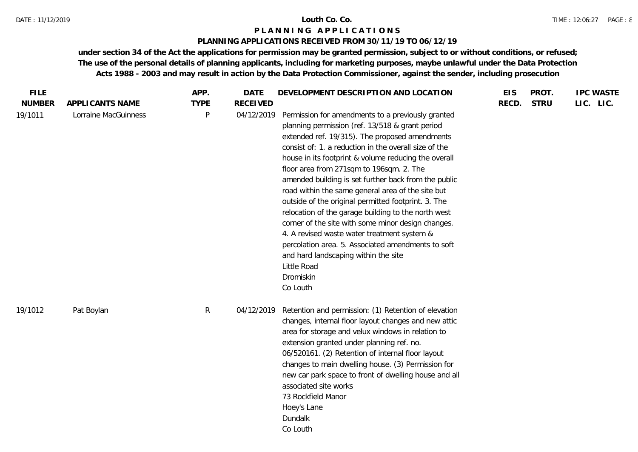# **PLANNING APPLICATIONS RECEIVED FROM 30/11/19 TO 06/12/19**

| <b>FILE</b>   |                      | APP.        | <b>DATE</b>     | DEVELOPMENT DESCRIPTION AND LOCATION                                                                                                                                                                                                                                                                                                                                                                                                                                                                                                                                                                                                                                                                                                                                                      | <b>EIS</b> | PROT.       | <b>IPC WASTE</b> |
|---------------|----------------------|-------------|-----------------|-------------------------------------------------------------------------------------------------------------------------------------------------------------------------------------------------------------------------------------------------------------------------------------------------------------------------------------------------------------------------------------------------------------------------------------------------------------------------------------------------------------------------------------------------------------------------------------------------------------------------------------------------------------------------------------------------------------------------------------------------------------------------------------------|------------|-------------|------------------|
| <b>NUMBER</b> | APPLICANTS NAME      | <b>TYPE</b> | <b>RECEIVED</b> |                                                                                                                                                                                                                                                                                                                                                                                                                                                                                                                                                                                                                                                                                                                                                                                           | RECD.      | <b>STRU</b> | LIC. LIC.        |
| 19/1011       | Lorraine MacGuinness | P           | 04/12/2019      | Permission for amendments to a previously granted<br>planning permission (ref. 13/518 & grant period<br>extended ref. 19/315). The proposed amendments<br>consist of: 1. a reduction in the overall size of the<br>house in its footprint & volume reducing the overall<br>floor area from 271sqm to 196sqm. 2. The<br>amended building is set further back from the public<br>road within the same general area of the site but<br>outside of the original permitted footprint. 3. The<br>relocation of the garage building to the north west<br>corner of the site with some minor design changes.<br>4. A revised waste water treatment system &<br>percolation area. 5. Associated amendments to soft<br>and hard landscaping within the site<br>Little Road<br>Dromiskin<br>Co Louth |            |             |                  |
| 19/1012       | Pat Boylan           | R.          | 04/12/2019      | Retention and permission: (1) Retention of elevation<br>changes, internal floor layout changes and new attic<br>area for storage and velux windows in relation to<br>extension granted under planning ref. no.<br>06/520161. (2) Retention of internal floor layout<br>changes to main dwelling house. (3) Permission for<br>new car park space to front of dwelling house and all<br>associated site works<br>73 Rockfield Manor<br>Hoey's Lane<br>Dundalk<br>Co Louth                                                                                                                                                                                                                                                                                                                   |            |             |                  |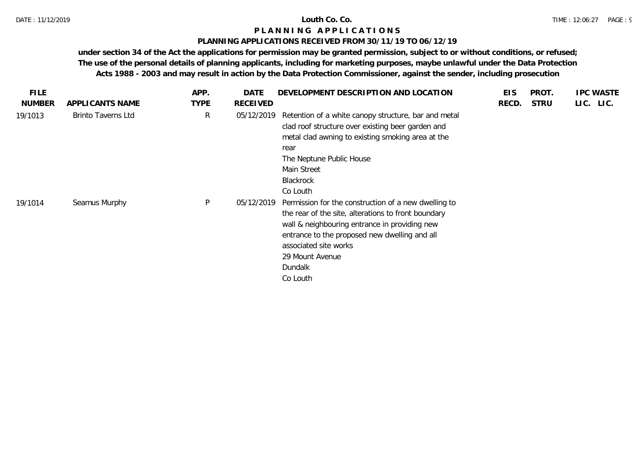# **PLANNING APPLICATIONS RECEIVED FROM 30/11/19 TO 06/12/19**

| <b>FILE</b>   |                           | APP.         | DATE       | DEVELOPMENT DESCRIPTION AND LOCATION                                                                                                                                                                                                                                             | <b>EIS</b> | PROT.       | <b>IPC WASTE</b> |
|---------------|---------------------------|--------------|------------|----------------------------------------------------------------------------------------------------------------------------------------------------------------------------------------------------------------------------------------------------------------------------------|------------|-------------|------------------|
| <b>NUMBER</b> | APPLICANTS NAME           | <b>TYPE</b>  | RECEIVED   |                                                                                                                                                                                                                                                                                  | RECD.      | <b>STRU</b> | LIC. LIC.        |
| 19/1013       | <b>Brinto Taverns Ltd</b> | $\mathsf{R}$ | 05/12/2019 | Retention of a white canopy structure, bar and metal<br>clad roof structure over existing beer garden and<br>metal clad awning to existing smoking area at the<br>rear<br>The Neptune Public House<br>Main Street<br><b>Blackrock</b><br>Co Louth                                |            |             |                  |
| 19/1014       | Seamus Murphy             | $\mathsf{P}$ | 05/12/2019 | Permission for the construction of a new dwelling to<br>the rear of the site, alterations to front boundary<br>wall & neighbouring entrance in providing new<br>entrance to the proposed new dwelling and all<br>associated site works<br>29 Mount Avenue<br>Dundalk<br>Co Louth |            |             |                  |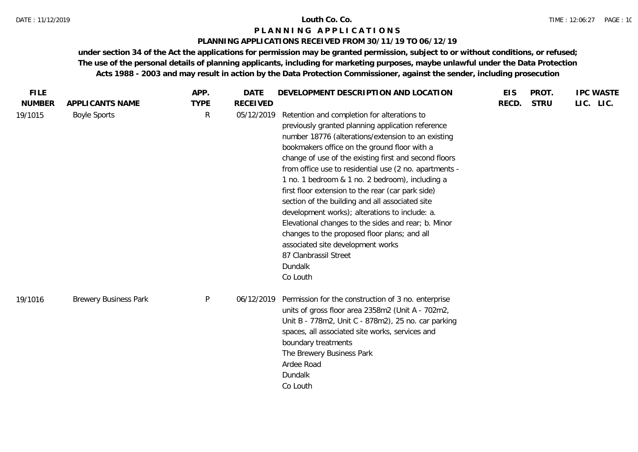# **PLANNING APPLICATIONS RECEIVED FROM 30/11/19 TO 06/12/19**

| <b>FILE</b>   |                              | APP.         | DATE            | DEVELOPMENT DESCRIPTION AND LOCATION                                                                                                                                                                                                                                                                                                                                                                                                                                                                                                                                                                                                                                                                                               | <b>EIS</b> | PROT.       | <b>IPC WASTE</b> |
|---------------|------------------------------|--------------|-----------------|------------------------------------------------------------------------------------------------------------------------------------------------------------------------------------------------------------------------------------------------------------------------------------------------------------------------------------------------------------------------------------------------------------------------------------------------------------------------------------------------------------------------------------------------------------------------------------------------------------------------------------------------------------------------------------------------------------------------------------|------------|-------------|------------------|
| <b>NUMBER</b> | APPLICANTS NAME              | <b>TYPE</b>  | <b>RECEIVED</b> |                                                                                                                                                                                                                                                                                                                                                                                                                                                                                                                                                                                                                                                                                                                                    | RECD.      | <b>STRU</b> | LIC. LIC.        |
| 19/1015       | <b>Boyle Sports</b>          | $\mathsf{R}$ | 05/12/2019      | Retention and completion for alterations to<br>previously granted planning application reference<br>number 18776 (alterations/extension to an existing<br>bookmakers office on the ground floor with a<br>change of use of the existing first and second floors<br>from office use to residential use (2 no. apartments -<br>1 no. 1 bedroom & 1 no. 2 bedroom), including a<br>first floor extension to the rear (car park side)<br>section of the building and all associated site<br>development works); alterations to include: a.<br>Elevational changes to the sides and rear; b. Minor<br>changes to the proposed floor plans; and all<br>associated site development works<br>87 Clanbrassil Street<br>Dundalk<br>Co Louth |            |             |                  |
| 19/1016       | <b>Brewery Business Park</b> | $\mathsf{P}$ |                 | 06/12/2019 Permission for the construction of 3 no. enterprise<br>units of gross floor area 2358m2 (Unit A - 702m2,<br>Unit B - 778m2, Unit C - 878m2), 25 no. car parking<br>spaces, all associated site works, services and<br>boundary treatments<br>The Brewery Business Park<br>Ardee Road<br>Dundalk<br>Co Louth                                                                                                                                                                                                                                                                                                                                                                                                             |            |             |                  |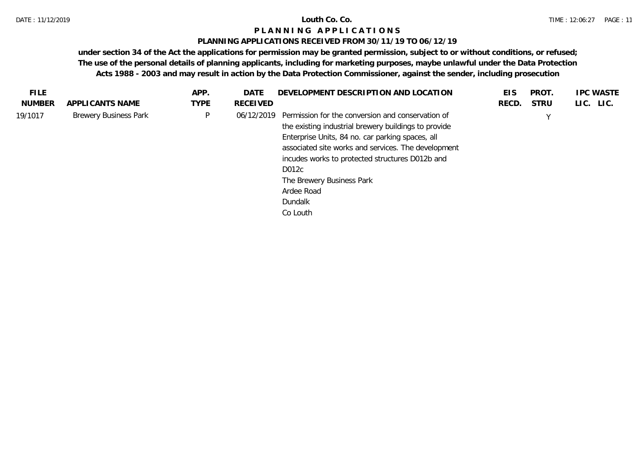# **PLANNING APPLICATIONS RECEIVED FROM 30/11/19 TO 06/12/19**

| <b>FILE</b>   |                              | APP.        | <b>DATE</b>     | DEVELOPMENT DESCRIPTION AND LOCATION                                                                                                                                                                                                                                                                                                               | EIS   | <b>PROT</b> | <b>IPC WASTE</b> |
|---------------|------------------------------|-------------|-----------------|----------------------------------------------------------------------------------------------------------------------------------------------------------------------------------------------------------------------------------------------------------------------------------------------------------------------------------------------------|-------|-------------|------------------|
| <b>NUMBER</b> | APPLICANTS NAME              | <b>TYPE</b> | <b>RECEIVED</b> |                                                                                                                                                                                                                                                                                                                                                    | RECD. | <b>STRU</b> | LIC. LIC.        |
| 19/1017       | <b>Brewery Business Park</b> | P           | 06/12/2019      | Permission for the conversion and conservation of<br>the existing industrial brewery buildings to provide<br>Enterprise Units, 84 no. car parking spaces, all<br>associated site works and services. The development<br>incudes works to protected structures D012b and<br>D012c<br>The Brewery Business Park<br>Ardee Road<br>Dundalk<br>Co Louth |       |             |                  |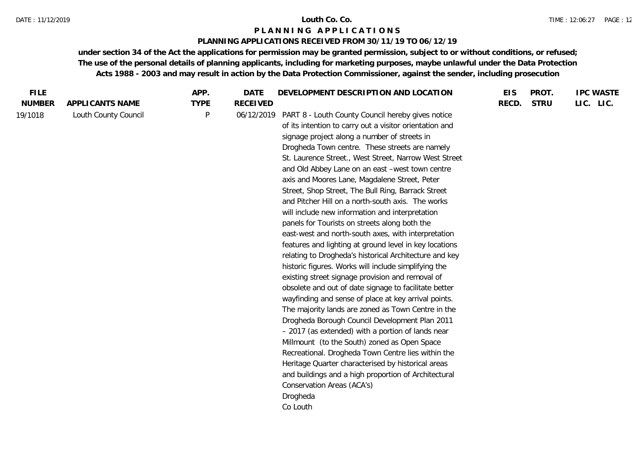### **PLANNING APPLICATIONS RECEIVED FROM 30/11/19 TO 06/12/19**

| <b>FILE</b>   |                      | APP.        | DEVELOPMENT DESCRIPTION AND LOCATION<br>DATE                                                                                                                                                                                                                                                                                                                                                                                                                                                                                                                                                                                                                                                                                                                                                                                                                                                                                                                                                                                                                                                                                                                                                                                                                                                                                                                                                                                                            | <b>EIS</b> | PROT.       | <b>IPC WASTE</b> |
|---------------|----------------------|-------------|---------------------------------------------------------------------------------------------------------------------------------------------------------------------------------------------------------------------------------------------------------------------------------------------------------------------------------------------------------------------------------------------------------------------------------------------------------------------------------------------------------------------------------------------------------------------------------------------------------------------------------------------------------------------------------------------------------------------------------------------------------------------------------------------------------------------------------------------------------------------------------------------------------------------------------------------------------------------------------------------------------------------------------------------------------------------------------------------------------------------------------------------------------------------------------------------------------------------------------------------------------------------------------------------------------------------------------------------------------------------------------------------------------------------------------------------------------|------------|-------------|------------------|
| <b>NUMBER</b> | APPLICANTS NAME      | <b>TYPE</b> | <b>RECEIVED</b>                                                                                                                                                                                                                                                                                                                                                                                                                                                                                                                                                                                                                                                                                                                                                                                                                                                                                                                                                                                                                                                                                                                                                                                                                                                                                                                                                                                                                                         | RECD.      | <b>STRU</b> | LIC. LIC.        |
| 19/1018       | Louth County Council | P           | 06/12/2019<br>PART 8 - Louth County Council hereby gives notice<br>of its intention to carry out a visitor orientation and<br>signage project along a number of streets in<br>Drogheda Town centre. These streets are namely<br>St. Laurence Street., West Street, Narrow West Street<br>and Old Abbey Lane on an east -west town centre<br>axis and Moores Lane, Magdalene Street, Peter<br>Street, Shop Street, The Bull Ring, Barrack Street<br>and Pitcher Hill on a north-south axis. The works<br>will include new information and interpretation<br>panels for Tourists on streets along both the<br>east-west and north-south axes, with interpretation<br>features and lighting at ground level in key locations<br>relating to Drogheda's historical Architecture and key<br>historic figures. Works will include simplifying the<br>existing street signage provision and removal of<br>obsolete and out of date signage to facilitate better<br>wayfinding and sense of place at key arrival points.<br>The majority lands are zoned as Town Centre in the<br>Drogheda Borough Council Development Plan 2011<br>- 2017 (as extended) with a portion of lands near<br>Millmount (to the South) zoned as Open Space<br>Recreational. Drogheda Town Centre lies within the<br>Heritage Quarter characterised by historical areas<br>and buildings and a high proportion of Architectural<br>Conservation Areas (ACA's)<br>Drogheda<br>Co Louth |            |             |                  |
|               |                      |             |                                                                                                                                                                                                                                                                                                                                                                                                                                                                                                                                                                                                                                                                                                                                                                                                                                                                                                                                                                                                                                                                                                                                                                                                                                                                                                                                                                                                                                                         |            |             |                  |